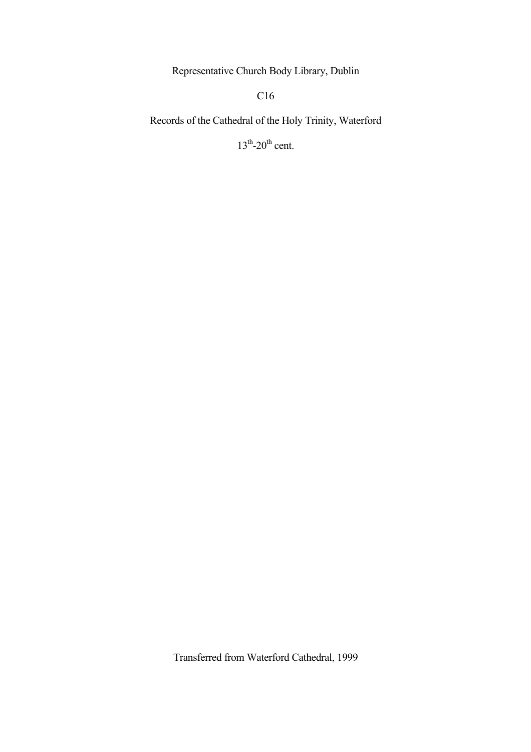Representative Church Body Library, Dublin

C<sub>16</sub>

Records of the Cathedral of the Holy Trinity, Waterford

 $13<sup>th</sup>$ -20<sup>th</sup> cent.

Transferred from Waterford Cathedral, 1999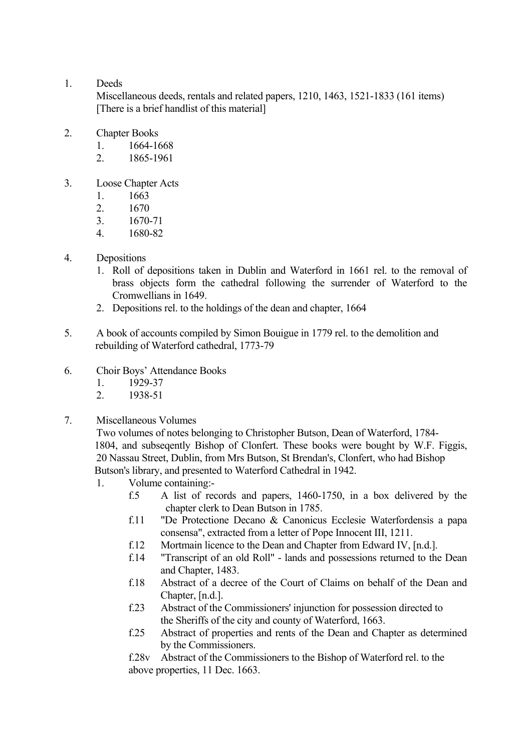## 1. Deeds

 Miscellaneous deeds, rentals and related papers, 1210, 1463, 1521-1833 (161 items) [There is a brief handlist of this material]

- 2 Chapter Books
	- 1. 1664-1668
	- 2. 1865-1961
- 3. Loose Chapter Acts
	- 1. 1663
	- 2. 1670
	- 3. 1670-71
	- 4. 1680-82
- 4. Depositions
	- 1. Roll of depositions taken in Dublin and Waterford in 1661 rel. to the removal of brass objects form the cathedral following the surrender of Waterford to the Cromwellians in 1649.
	- 2. Depositions rel. to the holdings of the dean and chapter, 1664
- 5. A book of accounts compiled by Simon Bouigue in 1779 rel. to the demolition and rebuilding of Waterford cathedral, 1773-79
- 6. Choir Boys' Attendance Books
	- 1. 1929-37
	- 2. 1938-51
- 7. Miscellaneous Volumes

 Two volumes of notes belonging to Christopher Butson, Dean of Waterford, 1784- 1804, and subsequently Bishop of Clonfert. These books were bought by W.F. Figgis, 20 Nassau Street, Dublin, from Mrs Butson, St Brendan's, Clonfert, who had Bishop Butson's library, and presented to Waterford Cathedral in 1942.

- 1. Volume containing:
	- f.5 A list of records and papers, 1460-1750, in a box delivered by the chapter clerk to Dean Butson in 1785.
	- f.11 "De Protectione Decano & Canonicus Ecclesie Waterfordensis a papa consensa", extracted from a letter of Pope Innocent III, 1211.
	- f.12 Mortmain licence to the Dean and Chapter from Edward IV, [n.d.].
	- f.14 "Transcript of an old Roll" lands and possessions returned to the Dean and Chapter, 1483.
	- f.18 Abstract of a decree of the Court of Claims on behalf of the Dean and Chapter, [n.d.].
	- f.23 Abstract of the Commissioners' injunction for possession directed to the Sheriffs of the city and county of Waterford, 1663.
	- f.25 Abstract of properties and rents of the Dean and Chapter as determined by the Commissioners.

 f.28v Abstract of the Commissioners to the Bishop of Waterford rel. to the above properties, 11 Dec. 1663.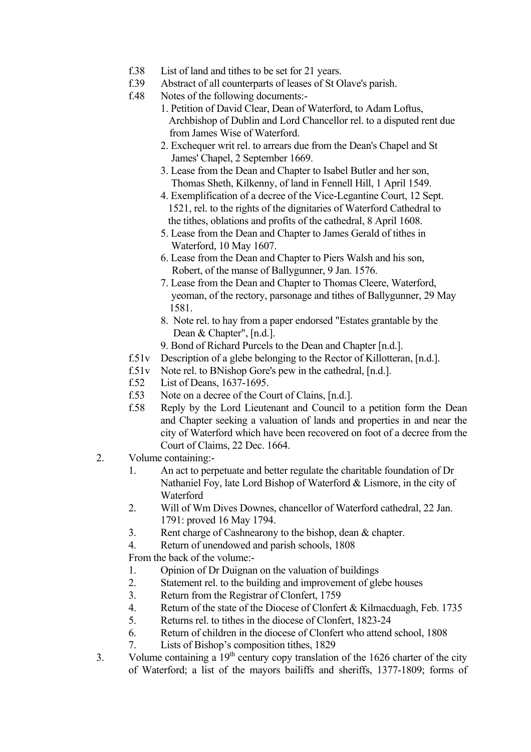- f.38 List of land and tithes to be set for 21 years.
- f.39 Abstract of all counterparts of leases of St Olave's parish.
- f.48 Notes of the following documents:-
	- 1. Petition of David Clear, Dean of Waterford, to Adam Loftus, Archbishop of Dublin and Lord Chancellor rel. to a disputed rent due from James Wise of Waterford.
	- 2. Exchequer writ rel. to arrears due from the Dean's Chapel and St James' Chapel, 2 September 1669.
	- 3. Lease from the Dean and Chapter to Isabel Butler and her son, Thomas Sheth, Kilkenny, of land in Fennell Hill, 1 April 1549.
	- 4. Exemplification of a decree of the Vice-Legantine Court, 12 Sept. 1521, rel. to the rights of the dignitaries of Waterford Cathedral to the tithes, oblations and profits of the cathedral, 8 April 1608.
	- 5. Lease from the Dean and Chapter to James Gerald of tithes in Waterford, 10 May 1607.
	- 6. Lease from the Dean and Chapter to Piers Walsh and his son, Robert, of the manse of Ballygunner, 9 Jan. 1576.
	- 7. Lease from the Dean and Chapter to Thomas Cleere, Waterford, yeoman, of the rectory, parsonage and tithes of Ballygunner, 29 May 1581.
	- 8. Note rel. to hay from a paper endorsed "Estates grantable by the Dean & Chapter", [n.d.].
	- 9. Bond of Richard Purcels to the Dean and Chapter [n.d.].
- f.51v Description of a glebe belonging to the Rector of Killotteran, [n.d.].
- f.51v Note rel. to BNishop Gore's pew in the cathedral, [n.d.].
- f.52 List of Deans, 1637-1695.
- f.53 Note on a decree of the Court of Clains, [n.d.].
- f.58 Reply by the Lord Lieutenant and Council to a petition form the Dean and Chapter seeking a valuation of lands and properties in and near the city of Waterford which have been recovered on foot of a decree from the Court of Claims, 22 Dec. 1664.
- 2. Volume containing:-
	- 1. An act to perpetuate and better regulate the charitable foundation of Dr Nathaniel Foy, late Lord Bishop of Waterford & Lismore, in the city of Waterford
	- 2. Will of Wm Dives Downes, chancellor of Waterford cathedral, 22 Jan. 1791: proved 16 May 1794.
	- 3. Rent charge of Cashnearony to the bishop, dean & chapter.
	- 4. Return of unendowed and parish schools, 1808

From the back of the volume:-

- 1. Opinion of Dr Duignan on the valuation of buildings
- 2. Statement rel. to the building and improvement of glebe houses
- 3. Return from the Registrar of Clonfert, 1759
- 4. Return of the state of the Diocese of Clonfert & Kilmacduagh, Feb. 1735
- 5. Returns rel. to tithes in the diocese of Clonfert, 1823-24
- 6. Return of children in the diocese of Clonfert who attend school, 1808
- 7. Lists of Bishop's composition tithes, 1829
- 3. Volume containing a  $19<sup>th</sup>$  century copy translation of the 1626 charter of the city of Waterford; a list of the mayors bailiffs and sheriffs, 1377-1809; forms of